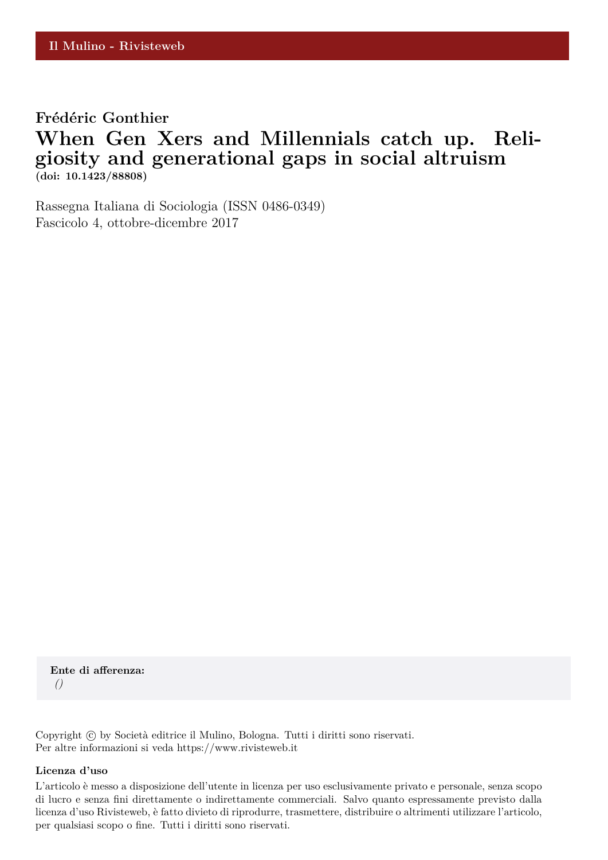### Frédéric Gonthier

## **When Gen Xers and Millennials catch up. Religiosity and generational gaps in social altruism (doi: 10.1423/88808)**

Rassegna Italiana di Sociologia (ISSN 0486-0349) Fascicolo 4, ottobre-dicembre 2017

**Ente di afferenza:** *()*

Copyright © by Società editrice il Mulino, Bologna. Tutti i diritti sono riservati. Per altre informazioni si veda https://www.rivisteweb.it

#### **Licenza d'uso**

L'articolo è messo a disposizione dell'utente in licenza per uso esclusivamente privato e personale, senza scopo di lucro e senza fini direttamente o indirettamente commerciali. Salvo quanto espressamente previsto dalla licenza d'uso Rivisteweb, è fatto divieto di riprodurre, trasmettere, distribuire o altrimenti utilizzare l'articolo, per qualsiasi scopo o fine. Tutti i diritti sono riservati.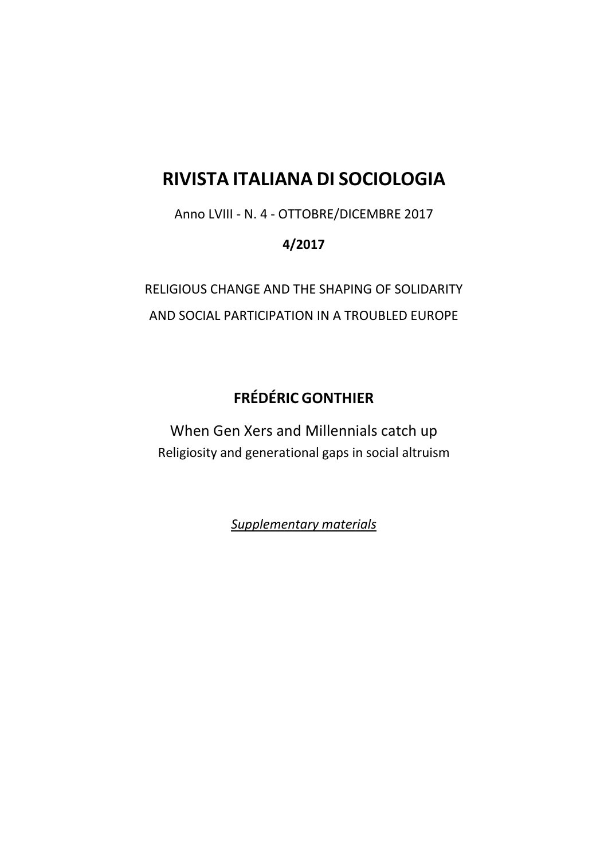# **RIVISTA ITALIANA DI SOCIOLOGIA**

Anno LVIII - N. 4 - OTTOBRE/DICEMBRE 2017

### **4/2017**

RELIGIOUS CHANGE AND THE SHAPING OF SOLIDARITY AND SOCIAL PARTICIPATION IN A TROUBLED EUROPE

## **FRÉDÉRIC GONTHIER**

When Gen Xers and Millennials catch up Religiosity and generational gaps in social altruism

*Supplementary materials*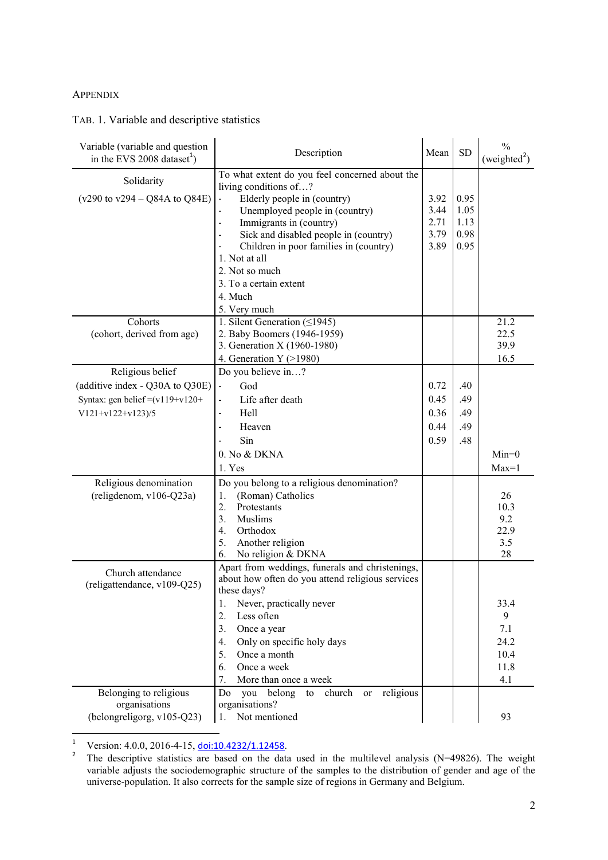### APPENDIX

### TAB. 1. Variable and descriptive statistics

| Variable (variable and question<br>in the EVS 2008 dataset <sup>1</sup> )                                       | Description                                                                                                                                                                                                                                                                                                                                    | Mean                                 | SD                                   | $\frac{0}{0}$<br>(weighted <sup>2</sup> )       |
|-----------------------------------------------------------------------------------------------------------------|------------------------------------------------------------------------------------------------------------------------------------------------------------------------------------------------------------------------------------------------------------------------------------------------------------------------------------------------|--------------------------------------|--------------------------------------|-------------------------------------------------|
| Solidarity<br>$(v290 \text{ to } v294 - Q84A \text{ to } Q84E)$                                                 | To what extent do you feel concerned about the<br>living conditions of?<br>Elderly people in (country)<br>Unemployed people in (country)<br>Immigrants in (country)<br>Sick and disabled people in (country)<br>Children in poor families in (country)<br>1. Not at all<br>2. Not so much<br>3. To a certain extent<br>4. Much<br>5. Very much | 3.92<br>3.44<br>2.71<br>3.79<br>3.89 | 0.95<br>1.05<br>1.13<br>0.98<br>0.95 |                                                 |
| Cohorts<br>(cohort, derived from age)                                                                           | 1. Silent Generation $( \leq 1945)$<br>2. Baby Boomers (1946-1959)<br>3. Generation X (1960-1980)<br>4. Generation $Y$ (>1980)                                                                                                                                                                                                                 |                                      |                                      | 21.2<br>22.5<br>39.9<br>16.5                    |
| Religious belief<br>(additive index - Q30A to Q30E)<br>Syntax: gen belief = $(v119+v120+$<br>$V121+v122+v123/5$ | Do you believe in?<br>God<br>$\blacksquare$<br>Life after death<br>ä,<br>Hell<br>Heaven<br>$\blacksquare$                                                                                                                                                                                                                                      | 0.72<br>0.45<br>0.36<br>0.44         | .40<br>.49<br>.49<br>.49             |                                                 |
|                                                                                                                 | Sin<br>0. No & DKNA<br>1. Yes                                                                                                                                                                                                                                                                                                                  | 0.59                                 | .48                                  | $Min=0$<br>$Max=1$                              |
| Religious denomination<br>(religdenom, v106-Q23a)                                                               | Do you belong to a religious denomination?<br>(Roman) Catholics<br>1.<br>2.<br>Protestants<br>3.<br>Muslims<br>4.<br>Orthodox<br>5.<br>Another religion<br>6.<br>No religion & DKNA                                                                                                                                                            |                                      |                                      | 26<br>10.3<br>9.2<br>22.9<br>3.5<br>28          |
| Church attendance<br>(religattendance, v109-Q25)                                                                | Apart from weddings, funerals and christenings,<br>about how often do you attend religious services<br>these days?<br>1.<br>Never, practically never<br>Less often<br>2.<br>3.<br>Once a year<br>Only on specific holy days<br>4.<br>Once a month<br>5.<br>Once a week<br>6.<br>7.<br>More than once a week                                    |                                      |                                      | 33.4<br>9<br>7.1<br>24.2<br>10.4<br>11.8<br>4.1 |
| Belonging to religious<br>organisations<br>(belongreligorg, v105-Q23)                                           | religious<br>Do you belong<br>church<br>to<br><b>or</b><br>organisations?<br>Not mentioned<br>1.                                                                                                                                                                                                                                               |                                      |                                      | 93                                              |

 $\frac{1}{1}$ Version: 4.0.0, 2016-4-15, [doi:10.4232/1.12458](http://dx.doi.org/10.4232/1.12458).

<sup>2</sup> The descriptive statistics are based on the data used in the multilevel analysis (N=49826). The weight variable adjusts the sociodemographic structure of the samples to the distribution of gender and age of the universe-population. It also corrects for the sample size of regions in Germany and Belgium.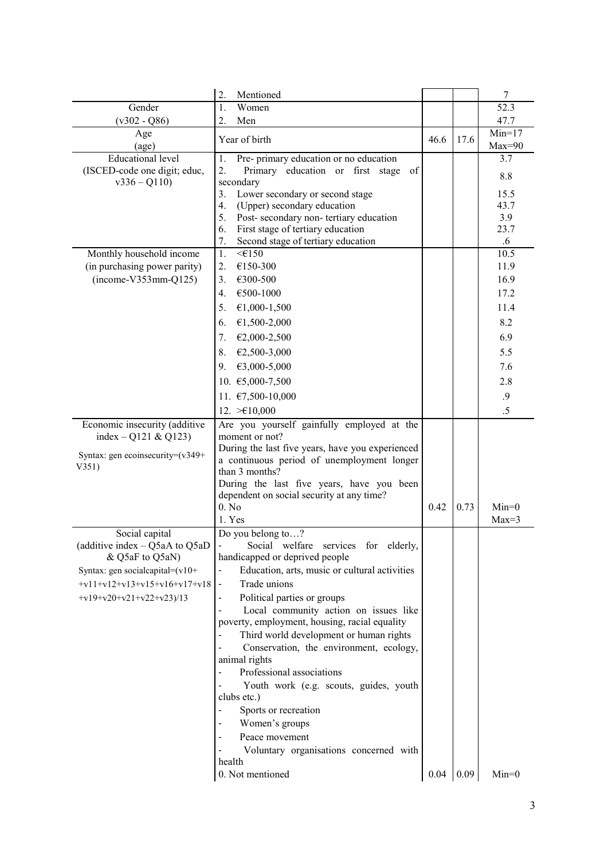|                                      | 2.<br>Mentioned                                                                                  |      |      | 7            |
|--------------------------------------|--------------------------------------------------------------------------------------------------|------|------|--------------|
| Gender                               | Women<br>1.                                                                                      |      |      | 52.3         |
| $(v302 - Q86)$                       | 2.<br>Men                                                                                        |      |      | 47.7         |
| Age                                  | Year of birth                                                                                    | 46.6 | 17.6 | $Min=17$     |
| $\left($ age $\right)$               |                                                                                                  |      |      | $Max=90$     |
| <b>Educational level</b>             | Pre- primary education or no education<br>1.                                                     |      |      | 3.7          |
| (ISCED-code one digit; educ,         | 2.<br>Primary education or first stage<br>of                                                     |      |      | 8.8          |
| $v336 - Q110$                        | secondary                                                                                        |      |      |              |
|                                      | Lower secondary or second stage<br>3.<br>4.<br>(Upper) secondary education                       |      |      | 15.5<br>43.7 |
|                                      | 5.<br>Post-secondary non-tertiary education                                                      |      |      | 3.9          |
|                                      | First stage of tertiary education<br>6.                                                          |      |      | 23.7         |
|                                      | 7.<br>Second stage of tertiary education                                                         |      |      | $.6\,$       |
| Monthly household income             | 1.<br>$\leq \in 150$                                                                             |      |      | 10.5         |
| (in purchasing power parity)         | 2.<br>€150-300                                                                                   |      |      | 11.9         |
| $(income-V353mm-Q125)$               | 3.<br>€300-500                                                                                   |      |      | 16.9         |
|                                      | €500-1000<br>4.                                                                                  |      |      | 17.2         |
|                                      | 5.<br>€1,000-1,500                                                                               |      |      | 11.4         |
|                                      | €1,500-2,000<br>6.                                                                               |      |      | 8.2          |
|                                      | 7.<br>€2,000-2,500                                                                               |      |      | 6.9          |
|                                      | €2,500-3,000<br>8.                                                                               |      |      | 5.5          |
|                                      | €3,000-5,000<br>9.                                                                               |      |      | 7.6          |
|                                      |                                                                                                  |      |      |              |
|                                      | 10. €5,000-7,500                                                                                 |      |      | 2.8          |
|                                      | 11. €7,500-10,000                                                                                |      |      | .9           |
|                                      | 12. $\geq 10,000$                                                                                |      |      | .5           |
| Economic insecurity (additive        | Are you yourself gainfully employed at the                                                       |      |      |              |
| index – Q121 & Q123)                 | moment or not?                                                                                   |      |      |              |
| Syntax: gen ecoinsecurity= $(v349+)$ | During the last five years, have you experienced<br>a continuous period of unemployment longer   |      |      |              |
| V351)                                | than 3 months?                                                                                   |      |      |              |
|                                      | During the last five years, have you been                                                        |      |      |              |
|                                      | dependent on social security at any time?                                                        |      |      |              |
|                                      | 0. No                                                                                            | 0.42 | 0.73 | $Min=0$      |
|                                      | 1. Yes                                                                                           |      |      | $Max=3$      |
| Social capital                       | Do you belong to?                                                                                |      |      |              |
| (additive index $-$ Q5aA to Q5aD     | Social welfare services for elderly,                                                             |      |      |              |
| & Q5aF to Q5aN)                      | handicapped or deprived people                                                                   |      |      |              |
| Syntax: gen socialcapital= $(v10+$   | Education, arts, music or cultural activities                                                    |      |      |              |
| $+v11+v12+v13+v15+v16+v17+v18$       | Trade unions<br>$\blacksquare$                                                                   |      |      |              |
| $+v19+v20+v21+v22+v23/13$            | Political parties or groups<br>$\overline{\phantom{a}}$<br>Local community action on issues like |      |      |              |
|                                      | poverty, employment, housing, racial equality                                                    |      |      |              |
|                                      | Third world development or human rights                                                          |      |      |              |
|                                      | Conservation, the environment, ecology,                                                          |      |      |              |
|                                      | animal rights                                                                                    |      |      |              |
|                                      | Professional associations                                                                        |      |      |              |
|                                      | Youth work (e.g. scouts, guides, youth                                                           |      |      |              |
|                                      | clubs etc.)                                                                                      |      |      |              |
|                                      | Sports or recreation                                                                             |      |      |              |
|                                      | Women's groups                                                                                   |      |      |              |
|                                      | Peace movement                                                                                   |      |      |              |
|                                      | Voluntary organisations concerned with                                                           |      |      |              |
|                                      | health                                                                                           |      |      |              |
|                                      | 0. Not mentioned                                                                                 | 0.04 | 0.09 | $Min=0$      |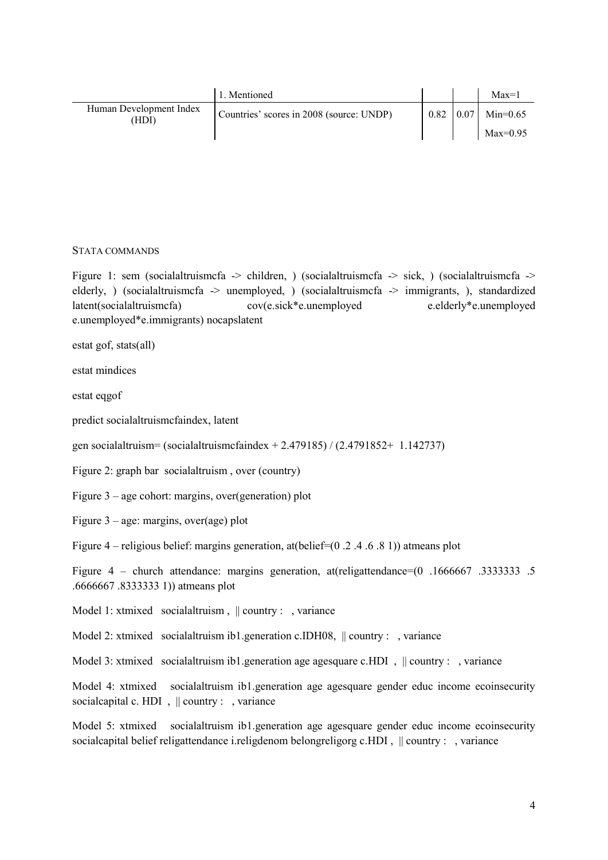|                                  | 1. Mentioned                             |      |      | $Max=1$    |
|----------------------------------|------------------------------------------|------|------|------------|
| Human Development Index<br>'HDI) | Countries' scores in 2008 (source: UNDP) | 0.82 | 0.07 | $Min=0.65$ |
|                                  |                                          |      |      | $Max=0.95$ |

#### STATA COMMANDS

Figure 1: sem (socialaltruismcfa -> children, ) (socialaltruismcfa -> sick, ) (socialaltruismcfa -> elderly, ) (socialaltruismcfa -> unemployed, ) (socialaltruismcfa -> immigrants, ), standardized latent(socialaltruismcfa) cov(e.sick\*e.unemployed e.elderly\*e.unemployed e.unemployed\*e.immigrants) nocapslatent

estat gof, stats(all)

estat mindices

estat eqgof

predict socialaltruismcfaindex, latent

gen socialaltruism= (socialaltruismcfaindex + 2.479185) / (2.4791852+ 1.142737)

Figure 2: graph bar socialaltruism , over (country)

Figure 3 – age cohort: margins, over(generation) plot

Figure 3 – age: margins, over(age) plot

Figure 4 – religious belief: margins generation, at(belief=(0 .2 .4 .6 .8 1)) atmeans plot

Figure 4 – church attendance: margins generation, at(religattendance=(0 .1666667 .3333333 .5 .6666667 .8333333 1)) atmeans plot

Model 1: xtmixed socialaltruism,  $\parallel$  country : , variance

Model 2: xtmixed socialaltruism ib1.generation c.IDH08,  $\parallel$  country : , variance

Model 3: xtmixed socialaltruism ib1.generation age agesquare c.HDI,  $\parallel$  country : , variance

Model 4: xtmixed socialaltruism ib1.generation age agesquare gender educ income ecoinsecurity socialcapital c. HDI,  $\parallel$  country : , variance

Model 5: xtmixed socialaltruism ib1.generation age agesquare gender educ income ecoinsecurity socialcapital belief religattendance i.religdenom belongreligorg c.HDI,  $\parallel$  country : , variance